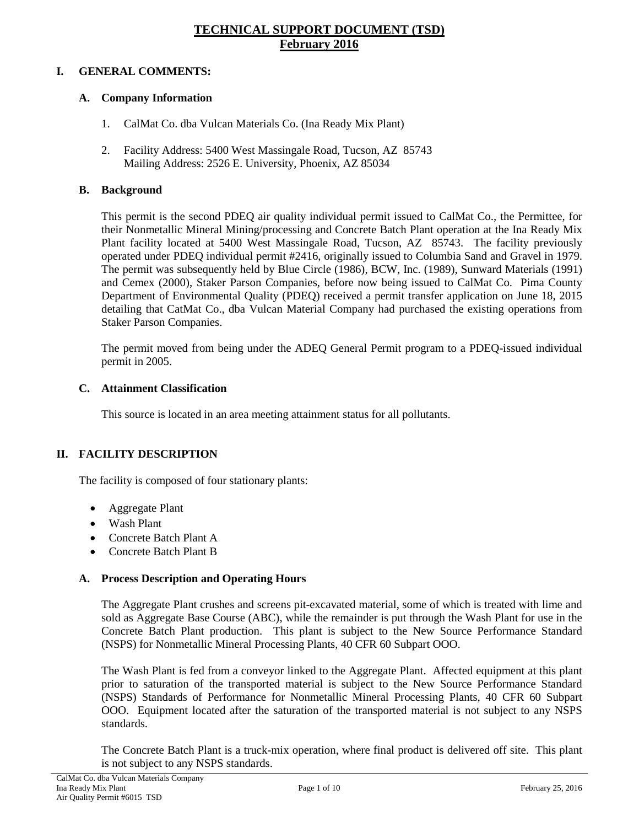# **TECHNICAL SUPPORT DOCUMENT (TSD) February 2016**

# **I. GENERAL COMMENTS:**

# **A. Company Information**

- 1. CalMat Co. dba Vulcan Materials Co. (Ina Ready Mix Plant)
- 2. Facility Address: 5400 West Massingale Road, Tucson, AZ 85743 Mailing Address: 2526 E. University, Phoenix, AZ 85034

# **B. Background**

This permit is the second PDEQ air quality individual permit issued to CalMat Co., the Permittee, for their Nonmetallic Mineral Mining/processing and Concrete Batch Plant operation at the Ina Ready Mix Plant facility located at 5400 West Massingale Road, Tucson, AZ 85743. The facility previously operated under PDEQ individual permit #2416, originally issued to Columbia Sand and Gravel in 1979. The permit was subsequently held by Blue Circle (1986), BCW, Inc. (1989), Sunward Materials (1991) and Cemex (2000), Staker Parson Companies, before now being issued to CalMat Co. Pima County Department of Environmental Quality (PDEQ) received a permit transfer application on June 18, 2015 detailing that CatMat Co., dba Vulcan Material Company had purchased the existing operations from Staker Parson Companies.

The permit moved from being under the ADEQ General Permit program to a PDEQ-issued individual permit in 2005.

# **C. Attainment Classification**

This source is located in an area meeting attainment status for all pollutants.

# **II. FACILITY DESCRIPTION**

The facility is composed of four stationary plants:

- Aggregate Plant
- Wash Plant
- Concrete Batch Plant A
- Concrete Batch Plant B

# **A. Process Description and Operating Hours**

The Aggregate Plant crushes and screens pit-excavated material, some of which is treated with lime and sold as Aggregate Base Course (ABC), while the remainder is put through the Wash Plant for use in the Concrete Batch Plant production. This plant is subject to the New Source Performance Standard (NSPS) for Nonmetallic Mineral Processing Plants, 40 CFR 60 Subpart OOO.

The Wash Plant is fed from a conveyor linked to the Aggregate Plant. Affected equipment at this plant prior to saturation of the transported material is subject to the New Source Performance Standard (NSPS) Standards of Performance for Nonmetallic Mineral Processing Plants, 40 CFR 60 Subpart OOO. Equipment located after the saturation of the transported material is not subject to any NSPS standards.

The Concrete Batch Plant is a truck-mix operation, where final product is delivered off site. This plant is not subject to any NSPS standards.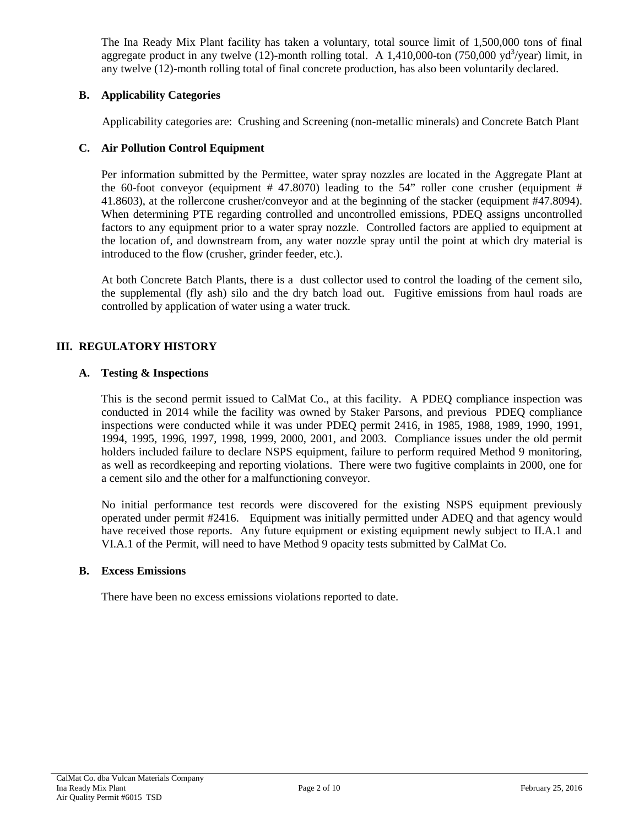The Ina Ready Mix Plant facility has taken a voluntary, total source limit of 1,500,000 tons of final aggregate product in any twelve  $(12)$ -month rolling total. A 1,410,000-ton  $(750,000 \text{ yd}^3/\text{year})$  limit, in any twelve (12)-month rolling total of final concrete production, has also been voluntarily declared.

# **B. Applicability Categories**

Applicability categories are: Crushing and Screening (non-metallic minerals) and Concrete Batch Plant

### **C. Air Pollution Control Equipment**

Per information submitted by the Permittee, water spray nozzles are located in the Aggregate Plant at the 60-foot conveyor (equipment # 47.8070) leading to the 54" roller cone crusher (equipment # 41.8603), at the rollercone crusher/conveyor and at the beginning of the stacker (equipment #47.8094). When determining PTE regarding controlled and uncontrolled emissions, PDEQ assigns uncontrolled factors to any equipment prior to a water spray nozzle. Controlled factors are applied to equipment at the location of, and downstream from, any water nozzle spray until the point at which dry material is introduced to the flow (crusher, grinder feeder, etc.).

At both Concrete Batch Plants, there is a dust collector used to control the loading of the cement silo, the supplemental (fly ash) silo and the dry batch load out. Fugitive emissions from haul roads are controlled by application of water using a water truck.

# **III. REGULATORY HISTORY**

### **A. Testing & Inspections**

This is the second permit issued to CalMat Co., at this facility. A PDEQ compliance inspection was conducted in 2014 while the facility was owned by Staker Parsons, and previous PDEQ compliance inspections were conducted while it was under PDEQ permit 2416, in 1985, 1988, 1989, 1990, 1991, 1994, 1995, 1996, 1997, 1998, 1999, 2000, 2001, and 2003. Compliance issues under the old permit holders included failure to declare NSPS equipment, failure to perform required Method 9 monitoring, as well as recordkeeping and reporting violations. There were two fugitive complaints in 2000, one for a cement silo and the other for a malfunctioning conveyor.

No initial performance test records were discovered for the existing NSPS equipment previously operated under permit #2416. Equipment was initially permitted under ADEQ and that agency would have received those reports. Any future equipment or existing equipment newly subject to II.A.1 and VI.A.1 of the Permit, will need to have Method 9 opacity tests submitted by CalMat Co.

### **B. Excess Emissions**

There have been no excess emissions violations reported to date.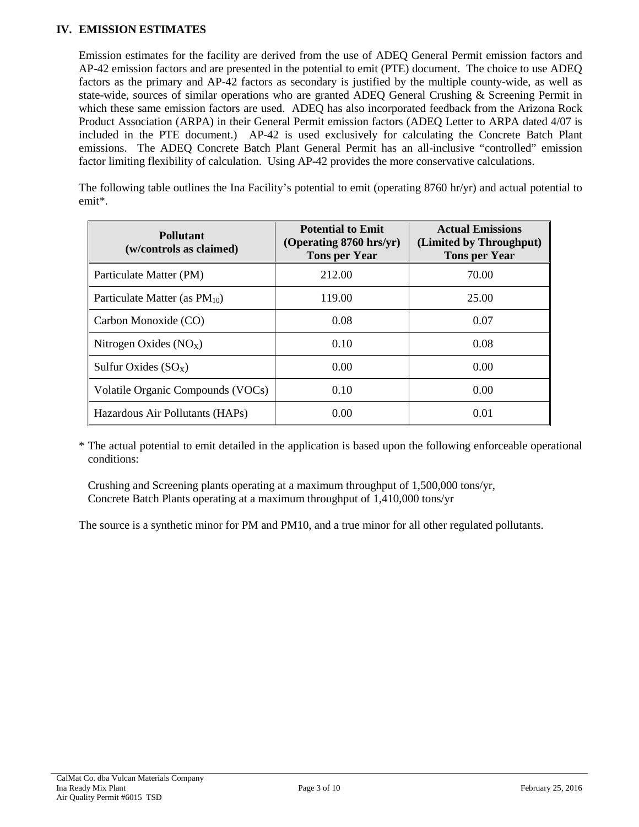# **IV. EMISSION ESTIMATES**

Emission estimates for the facility are derived from the use of ADEQ General Permit emission factors and AP-42 emission factors and are presented in the potential to emit (PTE) document. The choice to use ADEQ factors as the primary and AP-42 factors as secondary is justified by the multiple county-wide, as well as state-wide, sources of similar operations who are granted ADEQ General Crushing & Screening Permit in which these same emission factors are used. ADEQ has also incorporated feedback from the Arizona Rock Product Association (ARPA) in their General Permit emission factors (ADEQ Letter to ARPA dated 4/07 is included in the PTE document.) AP-42 is used exclusively for calculating the Concrete Batch Plant emissions. The ADEQ Concrete Batch Plant General Permit has an all-inclusive "controlled" emission factor limiting flexibility of calculation. Using AP-42 provides the more conservative calculations.

The following table outlines the Ina Facility's potential to emit (operating 8760 hr/yr) and actual potential to emit\*.

| <b>Pollutant</b><br>(w/controls as claimed) | <b>Potential to Emit</b><br>(Operating 8760 hrs/yr)<br><b>Tons per Year</b> | <b>Actual Emissions</b><br>(Limited by Throughput)<br><b>Tons per Year</b> |
|---------------------------------------------|-----------------------------------------------------------------------------|----------------------------------------------------------------------------|
| Particulate Matter (PM)                     | 212.00                                                                      | 70.00                                                                      |
| Particulate Matter (as $PM_{10}$ )          | 119.00                                                                      | 25.00                                                                      |
| Carbon Monoxide (CO)                        | 0.08                                                                        | 0.07                                                                       |
| Nitrogen Oxides $(NOx)$                     | 0.10                                                                        | 0.08                                                                       |
| Sulfur Oxides $(SO_X)$                      | 0.00                                                                        | 0.00                                                                       |
| Volatile Organic Compounds (VOCs)           | 0.10                                                                        | 0.00                                                                       |
| Hazardous Air Pollutants (HAPs)             | 0.00                                                                        | 0.01                                                                       |

\* The actual potential to emit detailed in the application is based upon the following enforceable operational conditions:

Crushing and Screening plants operating at a maximum throughput of 1,500,000 tons/yr, Concrete Batch Plants operating at a maximum throughput of 1,410,000 tons/yr

The source is a synthetic minor for PM and PM10, and a true minor for all other regulated pollutants.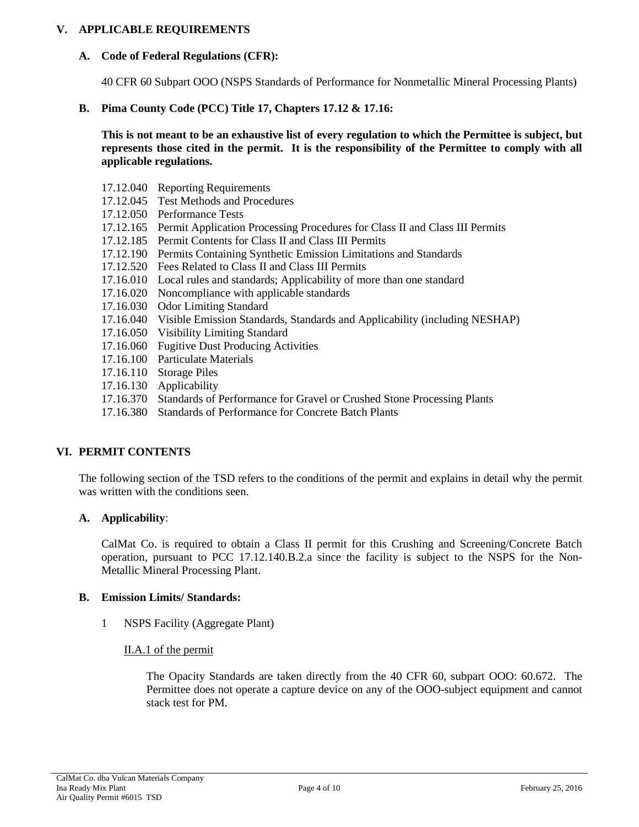### **V. APPLICABLE REQUIREMENTS**

### **A. Code of Federal Regulations (CFR):**

40 CFR 60 Subpart OOO (NSPS Standards of Performance for Nonmetallic Mineral Processing Plants)

### **B. Pima County Code (PCC) Title 17, Chapters 17.12 & 17.16:**

**This is not meant to be an exhaustive list of every regulation to which the Permittee is subject, but represents those cited in the permit. It is the responsibility of the Permittee to comply with all applicable regulations.**

- 17.12.040 Reporting Requirements
- 17.12.045 Test Methods and Procedures
- 17.12.050 Performance Tests
- 17.12.165 Permit Application Processing Procedures for Class II and Class III Permits
- 17.12.185 Permit Contents for Class II and Class III Permits
- 17.12.190 Permits Containing Synthetic Emission Limitations and Standards
- 17.12.520 Fees Related to Class II and Class III Permits
- 17.16.010 Local rules and standards; Applicability of more than one standard
- 17.16.020 Noncompliance with applicable standards
- 17.16.030 Odor Limiting Standard
- 17.16.040 Visible Emission Standards, Standards and Applicability (including NESHAP)
- 17.16.050 Visibility Limiting Standard
- 17.16.060 Fugitive Dust Producing Activities
- 17.16.100 Particulate Materials
- 17.16.110 Storage Piles
- 17.16.130 Applicability
- 17.16.370 Standards of Performance for Gravel or Crushed Stone Processing Plants
- 17.16.380 Standards of Performance for Concrete Batch Plants

# **VI. PERMIT CONTENTS**

The following section of the TSD refers to the conditions of the permit and explains in detail why the permit was written with the conditions seen.

# **A. Applicability**:

CalMat Co. is required to obtain a Class II permit for this Crushing and Screening/Concrete Batch operation, pursuant to PCC 17.12.140.B.2.a since the facility is subject to the NSPS for the Non-Metallic Mineral Processing Plant.

### **B. Emission Limits/ Standards:**

1 NSPS Facility (Aggregate Plant)

### II.A.1 of the permit

The Opacity Standards are taken directly from the 40 CFR 60, subpart OOO: 60.672. The Permittee does not operate a capture device on any of the OOO-subject equipment and cannot stack test for PM.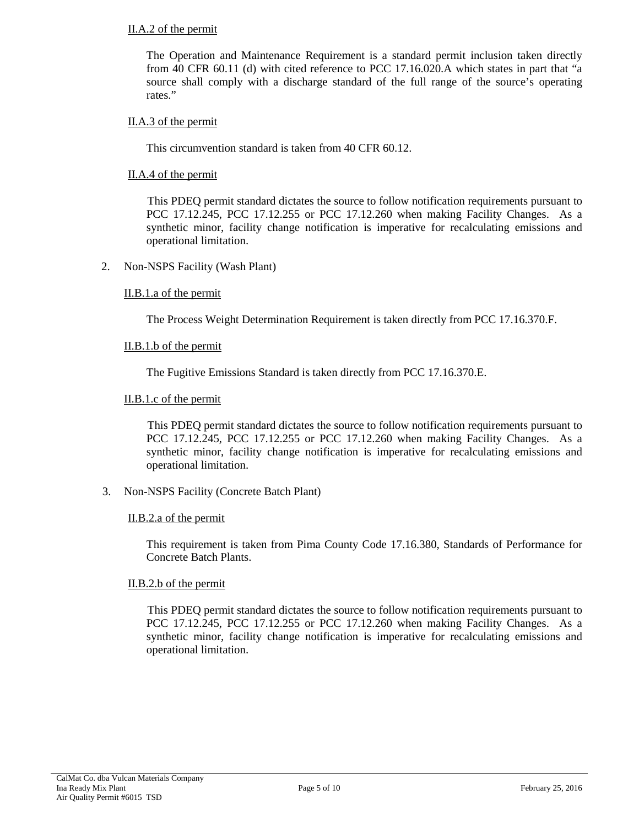### II.A.2 of the permit

The Operation and Maintenance Requirement is a standard permit inclusion taken directly from 40 CFR 60.11 (d) with cited reference to PCC 17.16.020.A which states in part that "a source shall comply with a discharge standard of the full range of the source's operating rates."

### II.A.3 of the permit

This circumvention standard is taken from 40 CFR 60.12.

### II.A.4 of the permit

This PDEQ permit standard dictates the source to follow notification requirements pursuant to PCC 17.12.245, PCC 17.12.255 or PCC 17.12.260 when making Facility Changes. As a synthetic minor, facility change notification is imperative for recalculating emissions and operational limitation.

2. Non-NSPS Facility (Wash Plant)

### II.B.1.a of the permit

The Process Weight Determination Requirement is taken directly from PCC 17.16.370.F.

### II.B.1.b of the permit

The Fugitive Emissions Standard is taken directly from PCC 17.16.370.E.

### II.B.1.c of the permit

This PDEQ permit standard dictates the source to follow notification requirements pursuant to PCC 17.12.245, PCC 17.12.255 or PCC 17.12.260 when making Facility Changes. As a synthetic minor, facility change notification is imperative for recalculating emissions and operational limitation.

3. Non-NSPS Facility (Concrete Batch Plant)

### II.B.2.a of the permit

This requirement is taken from Pima County Code 17.16.380, Standards of Performance for Concrete Batch Plants.

### II.B.2.b of the permit

This PDEQ permit standard dictates the source to follow notification requirements pursuant to PCC 17.12.245, PCC 17.12.255 or PCC 17.12.260 when making Facility Changes. As a synthetic minor, facility change notification is imperative for recalculating emissions and operational limitation.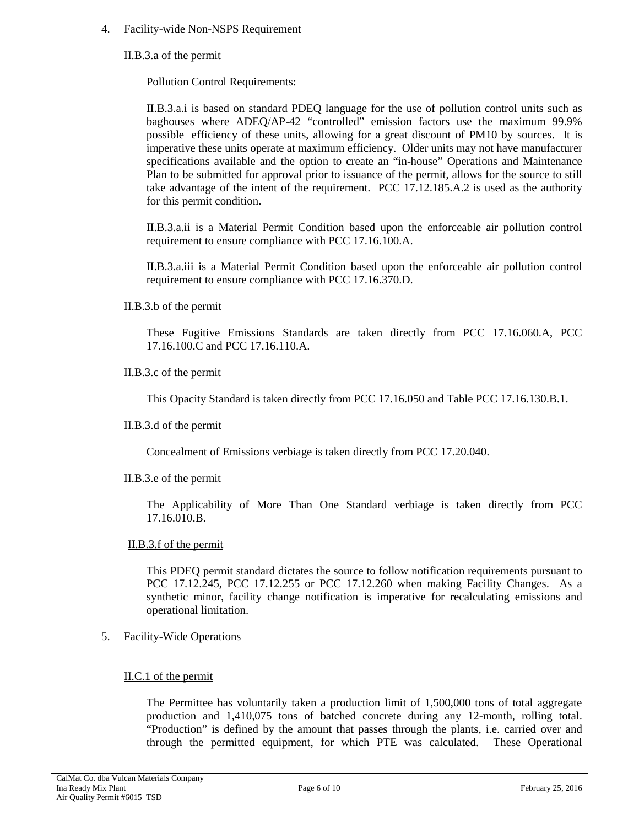### 4. Facility-wide Non-NSPS Requirement

### II.B.3.a of the permit

Pollution Control Requirements:

II.B.3.a.i is based on standard PDEQ language for the use of pollution control units such as baghouses where ADEQ/AP-42 "controlled" emission factors use the maximum 99.9% possible efficiency of these units, allowing for a great discount of PM10 by sources. It is imperative these units operate at maximum efficiency. Older units may not have manufacturer specifications available and the option to create an "in-house" Operations and Maintenance Plan to be submitted for approval prior to issuance of the permit, allows for the source to still take advantage of the intent of the requirement. PCC 17.12.185.A.2 is used as the authority for this permit condition.

II.B.3.a.ii is a Material Permit Condition based upon the enforceable air pollution control requirement to ensure compliance with PCC 17.16.100.A.

II.B.3.a.iii is a Material Permit Condition based upon the enforceable air pollution control requirement to ensure compliance with PCC 17.16.370.D.

#### II.B.3.b of the permit

These Fugitive Emissions Standards are taken directly from PCC 17.16.060.A, PCC 17.16.100.C and PCC 17.16.110.A.

### II.B.3.c of the permit

This Opacity Standard is taken directly from PCC 17.16.050 and Table PCC 17.16.130.B.1.

#### II.B.3.d of the permit

Concealment of Emissions verbiage is taken directly from PCC 17.20.040.

#### II.B.3.e of the permit

The Applicability of More Than One Standard verbiage is taken directly from PCC 17.16.010.B.

#### II.B.3.f of the permit

This PDEQ permit standard dictates the source to follow notification requirements pursuant to PCC 17.12.245, PCC 17.12.255 or PCC 17.12.260 when making Facility Changes. As a synthetic minor, facility change notification is imperative for recalculating emissions and operational limitation.

### 5. Facility-Wide Operations

### II.C.1 of the permit

The Permittee has voluntarily taken a production limit of 1,500,000 tons of total aggregate production and 1,410,075 tons of batched concrete during any 12-month, rolling total. "Production" is defined by the amount that passes through the plants, i.e. carried over and through the permitted equipment, for which PTE was calculated. These Operational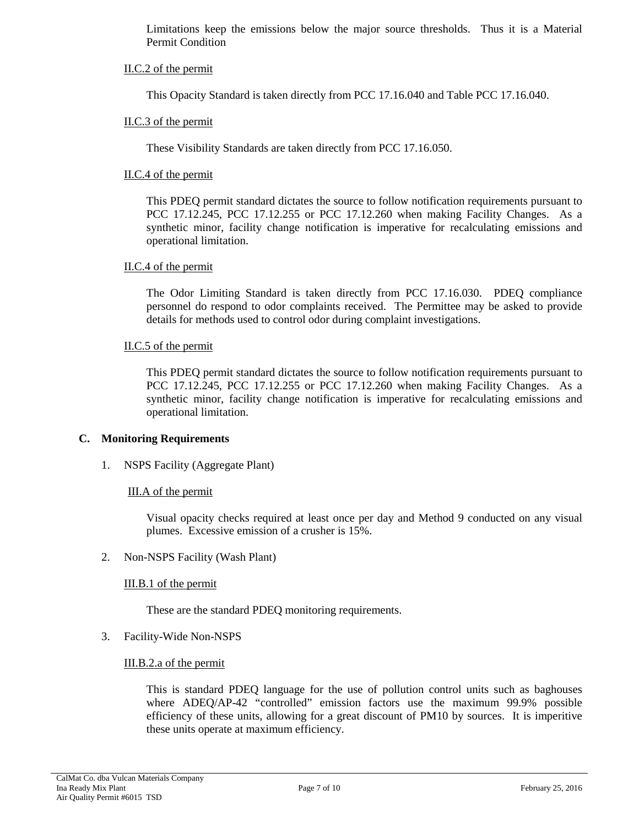Limitations keep the emissions below the major source thresholds. Thus it is a Material Permit Condition

### II.C.2 of the permit

This Opacity Standard is taken directly from PCC 17.16.040 and Table PCC 17.16.040.

### II.C.3 of the permit

These Visibility Standards are taken directly from PCC 17.16.050.

### II.C.4 of the permit

This PDEQ permit standard dictates the source to follow notification requirements pursuant to PCC 17.12.245, PCC 17.12.255 or PCC 17.12.260 when making Facility Changes. As a synthetic minor, facility change notification is imperative for recalculating emissions and operational limitation.

### II.C.4 of the permit

The Odor Limiting Standard is taken directly from PCC 17.16.030. PDEQ compliance personnel do respond to odor complaints received. The Permittee may be asked to provide details for methods used to control odor during complaint investigations.

### II.C.5 of the permit

This PDEQ permit standard dictates the source to follow notification requirements pursuant to PCC 17.12.245, PCC 17.12.255 or PCC 17.12.260 when making Facility Changes. As a synthetic minor, facility change notification is imperative for recalculating emissions and operational limitation.

### **C. Monitoring Requirements**

### 1. NSPS Facility (Aggregate Plant)

### III.A of the permit

Visual opacity checks required at least once per day and Method 9 conducted on any visual plumes. Excessive emission of a crusher is 15%.

### 2. Non-NSPS Facility (Wash Plant)

### III.B.1 of the permit

These are the standard PDEQ monitoring requirements.

### 3. Facility-Wide Non-NSPS

### III.B.2.a of the permit

This is standard PDEQ language for the use of pollution control units such as baghouses where ADEQ/AP-42 "controlled" emission factors use the maximum 99.9% possible efficiency of these units, allowing for a great discount of PM10 by sources. It is imperitive these units operate at maximum efficiency.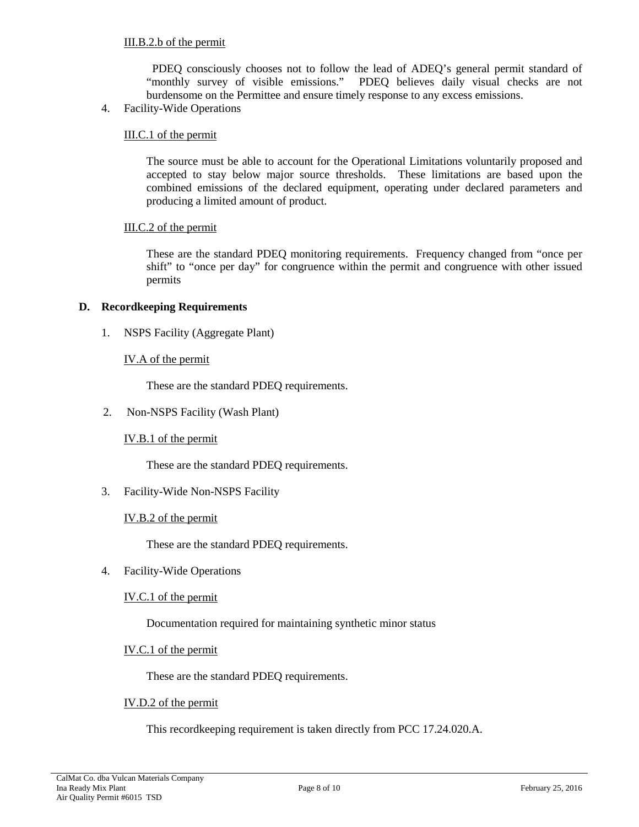PDEQ consciously chooses not to follow the lead of ADEQ's general permit standard of "monthly survey of visible emissions." PDEQ believes daily visual checks are not burdensome on the Permittee and ensure timely response to any excess emissions.

4. Facility-Wide Operations

### III.C.1 of the permit

The source must be able to account for the Operational Limitations voluntarily proposed and accepted to stay below major source thresholds. These limitations are based upon the combined emissions of the declared equipment, operating under declared parameters and producing a limited amount of product.

### III.C.2 of the permit

These are the standard PDEQ monitoring requirements. Frequency changed from "once per shift" to "once per day" for congruence within the permit and congruence with other issued permits

### **D. Recordkeeping Requirements**

1. NSPS Facility (Aggregate Plant)

### IV.A of the permit

These are the standard PDEQ requirements.

2. Non-NSPS Facility (Wash Plant)

### IV.B.1 of the permit

These are the standard PDEQ requirements.

3. Facility-Wide Non-NSPS Facility

### IV.B.2 of the permit

These are the standard PDEQ requirements.

4. Facility-Wide Operations

IV.C.1 of the permit

Documentation required for maintaining synthetic minor status

### IV.C.1 of the permit

These are the standard PDEQ requirements.

### IV.D.2 of the permit

This recordkeeping requirement is taken directly from PCC 17.24.020.A.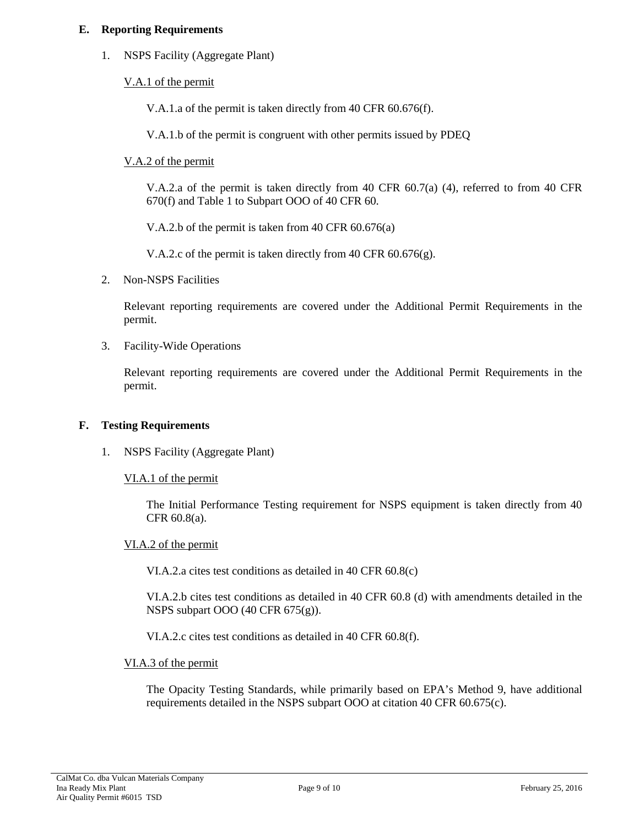### **E. Reporting Requirements**

1. NSPS Facility (Aggregate Plant)

V.A.1 of the permit

V.A.1.a of the permit is taken directly from 40 CFR 60.676(f).

V.A.1.b of the permit is congruent with other permits issued by PDEQ

V.A.2 of the permit

V.A.2.a of the permit is taken directly from 40 CFR 60.7(a) (4), referred to from 40 CFR 670(f) and Table 1 to Subpart OOO of 40 CFR 60.

V.A.2.b of the permit is taken from 40 CFR 60.676(a)

V.A.2.c of the permit is taken directly from 40 CFR  $60.676(g)$ .

2. Non-NSPS Facilities

Relevant reporting requirements are covered under the Additional Permit Requirements in the permit.

3. Facility-Wide Operations

Relevant reporting requirements are covered under the Additional Permit Requirements in the permit.

# **F. Testing Requirements**

1. NSPS Facility (Aggregate Plant)

VI.A.1 of the permit

The Initial Performance Testing requirement for NSPS equipment is taken directly from 40 CFR 60.8(a).

### VI.A.2 of the permit

VI.A.2.a cites test conditions as detailed in 40 CFR 60.8(c)

VI.A.2.b cites test conditions as detailed in 40 CFR 60.8 (d) with amendments detailed in the NSPS subpart OOO (40 CFR 675(g)).

VI.A.2.c cites test conditions as detailed in 40 CFR 60.8(f).

### VI.A.3 of the permit

The Opacity Testing Standards, while primarily based on EPA's Method 9, have additional requirements detailed in the NSPS subpart OOO at citation 40 CFR 60.675(c).